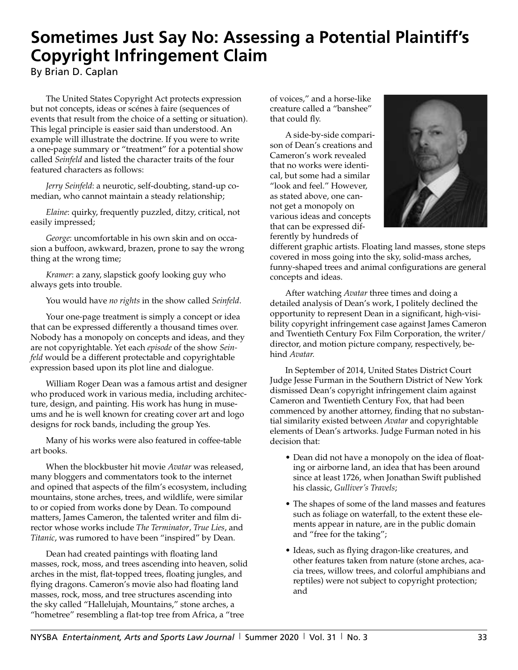# **Sometimes Just Say No: Assessing a Potential Plaintiff's Copyright Infringement Claim**

By Brian D. Caplan

The United States Copyright Act protects expression but not concepts, ideas or scénes à faire (sequences of events that result from the choice of a setting or situation). This legal principle is easier said than understood. An example will illustrate the doctrine. If you were to write a one-page summary or "treatment" for a potential show called *Seinfeld* and listed the character traits of the four featured characters as follows:

*Jerry Seinfeld*: a neurotic, self-doubting, stand-up comedian, who cannot maintain a steady relationship;

*Elaine*: quirky, frequently puzzled, ditzy, critical, not easily impressed;

*George*: uncomfortable in his own skin and on occasion a buffoon, awkward, brazen, prone to say the wrong thing at the wrong time;

*Kramer*: a zany, slapstick goofy looking guy who always gets into trouble.

You would have *no rights* in the show called *Seinfeld*.

Your one-page treatment is simply a concept or idea that can be expressed differently a thousand times over. Nobody has a monopoly on concepts and ideas, and they are not copyrightable. Yet each *episode* of the show *Seinfeld* would be a different protectable and copyrightable expression based upon its plot line and dialogue.

William Roger Dean was a famous artist and designer who produced work in various media, including architecture, design, and painting. His work has hung in museums and he is well known for creating cover art and logo designs for rock bands, including the group Yes.

Many of his works were also featured in coffee-table art books.

When the blockbuster hit movie *Avatar* was released, many bloggers and commentators took to the internet and opined that aspects of the film's ecosystem, including mountains, stone arches, trees, and wildlife, were similar to or copied from works done by Dean. To compound matters, James Cameron, the talented writer and film director whose works include *The Terminator*, *True Lies*, and *Titanic*, was rumored to have been "inspired" by Dean.

Dean had created paintings with floating land masses, rock, moss, and trees ascending into heaven, solid arches in the mist, flat-topped trees, floating jungles, and flying dragons. Cameron's movie also had floating land masses, rock, moss, and tree structures ascending into the sky called "Hallelujah, Mountains," stone arches, a "hometree" resembling a flat-top tree from Africa, a "tree

of voices," and a horse-like creature called a "banshee" that could fly.

A side-by-side comparison of Dean's creations and Cameron's work revealed that no works were identical, but some had a similar "look and feel." However, as stated above, one cannot get a monopoly on various ideas and concepts that can be expressed differently by hundreds of



different graphic artists. Floating land masses, stone steps covered in moss going into the sky, solid-mass arches, funny-shaped trees and animal configurations are general concepts and ideas.

After watching *Avatar* three times and doing a detailed analysis of Dean's work, I politely declined the opportunity to represent Dean in a significant, high-visibility copyright infringement case against James Cameron and Twentieth Century Fox Film Corporation, the writer/ director, and motion picture company, respectively, behind *Avatar.*

In September of 2014, United States District Court Judge Jesse Furman in the Southern District of New York dismissed Dean's copyright infringement claim against Cameron and Twentieth Century Fox, that had been commenced by another attorney, finding that no substantial similarity existed between *Avatar* and copyrightable elements of Dean's artworks. Judge Furman noted in his decision that:

- Dean did not have a monopoly on the idea of floating or airborne land, an idea that has been around since at least 1726, when Jonathan Swift published his classic, *Gulliver's Travels*;
- The shapes of some of the land masses and features such as foliage on waterfall, to the extent these elements appear in nature, are in the public domain and "free for the taking";
- Ideas, such as flying dragon-like creatures, and other features taken from nature (stone arches, acacia trees, willow trees, and colorful amphibians and reptiles) were not subject to copyright protection; and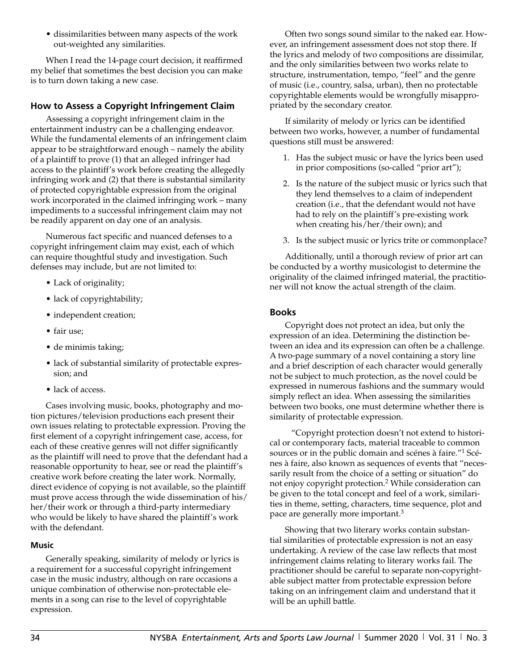• dissimilarities between many aspects of the work out-weighted any similarities.

When I read the 14-page court decision, it reaffirmed my belief that sometimes the best decision you can make is to turn down taking a new case.

# **How to Assess a Copyright Infringement Claim**

Assessing a copyright infringement claim in the entertainment industry can be a challenging endeavor. While the fundamental elements of an infringement claim appear to be straightforward enough – namely the ability of a plaintiff to prove (1) that an alleged infringer had access to the plaintiff's work before creating the allegedly infringing work and (2) that there is substantial similarity of protected copyrightable expression from the original work incorporated in the claimed infringing work – many impediments to a successful infringement claim may not be readily apparent on day one of an analysis.

Numerous fact specific and nuanced defenses to a copyright infringement claim may exist, each of which can require thoughtful study and investigation. Such defenses may include, but are not limited to:

- Lack of originality;
- lack of copyrightability;
- independent creation;
- fair use;
- de minimis taking;
- lack of substantial similarity of protectable expression; and
- lack of access.

Cases involving music, books, photography and motion pictures/television productions each present their own issues relating to protectable expression. Proving the first element of a copyright infringement case, access, for each of these creative genres will not differ significantly as the plaintiff will need to prove that the defendant had a reasonable opportunity to hear, see or read the plaintiff's creative work before creating the later work. Normally, direct evidence of copying is not available, so the plaintiff must prove access through the wide dissemination of his/ her/their work or through a third-party intermediary who would be likely to have shared the plaintiff's work with the defendant.

## **Music**

Generally speaking, similarity of melody or lyrics is a requirement for a successful copyright infringement case in the music industry, although on rare occasions a unique combination of otherwise non-protectable elements in a song can rise to the level of copyrightable expression.

Often two songs sound similar to the naked ear. However, an infringement assessment does not stop there. If the lyrics and melody of two compositions are dissimilar, and the only similarities between two works relate to structure, instrumentation, tempo, "feel" and the genre of music (i.e., country, salsa, urban), then no protectable copyrightable elements would be wrongfully misappropriated by the secondary creator.

If similarity of melody or lyrics can be identified between two works, however, a number of fundamental questions still must be answered:

- 1. Has the subject music or have the lyrics been used in prior compositions (so-called "prior art");
- 2. Is the nature of the subject music or lyrics such that they lend themselves to a claim of independent creation (i.e., that the defendant would not have had to rely on the plaintiff's pre-existing work when creating his/her/their own); and
- 3. Is the subject music or lyrics trite or commonplace?

Additionally, until a thorough review of prior art can be conducted by a worthy musicologist to determine the originality of the claimed infringed material, the practitioner will not know the actual strength of the claim.

## **Books**

Copyright does not protect an idea, but only the expression of an idea. Determining the distinction between an idea and its expression can often be a challenge. A two-page summary of a novel containing a story line and a brief description of each character would generally not be subject to much protection, as the novel could be expressed in numerous fashions and the summary would simply reflect an idea. When assessing the similarities between two books, one must determine whether there is similarity of protectable expression.

 "Copyright protection doesn't not extend to historical or contemporary facts, material traceable to common sources or in the public domain and scénes à faire."1 Scénes à faire, also known as sequences of events that "necessarily result from the choice of a setting or situation" do not enjoy copyright protection.2 While consideration can be given to the total concept and feel of a work, similarities in theme, setting, characters, time sequence, plot and pace are generally more important.<sup>3</sup>

Showing that two literary works contain substantial similarities of protectable expression is not an easy undertaking. A review of the case law reflects that most infringement claims relating to literary works fail. The practitioner should be careful to separate non-copyrightable subject matter from protectable expression before taking on an infringement claim and understand that it will be an uphill battle.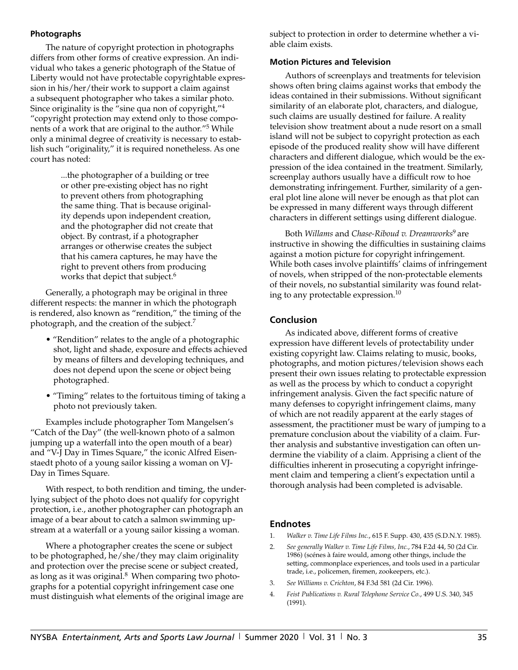#### **Photographs**

The nature of copyright protection in photographs differs from other forms of creative expression. An individual who takes a generic photograph of the Statue of Liberty would not have protectable copyrightable expression in his/her/their work to support a claim against a subsequent photographer who takes a similar photo. Since originality is the "sine qua non of copyright,"4 "copyright protection may extend only to those components of a work that are original to the author."5 While only a minimal degree of creativity is necessary to establish such "originality," it is required nonetheless. As one court has noted:

> ...the photographer of a building or tree or other pre-existing object has no right to prevent others from photographing the same thing. That is because originality depends upon independent creation, and the photographer did not create that object. By contrast, if a photographer arranges or otherwise creates the subject that his camera captures, he may have the right to prevent others from producing works that depict that subject.<sup>6</sup>

Generally, a photograph may be original in three different respects: the manner in which the photograph is rendered, also known as "rendition," the timing of the photograph, and the creation of the subject.7

- "Rendition" relates to the angle of a photographic shot, light and shade, exposure and effects achieved by means of filters and developing techniques, and does not depend upon the scene or object being photographed.
- "Timing" relates to the fortuitous timing of taking a photo not previously taken.

Examples include photographer Tom Mangelsen's "Catch of the Day" (the well-known photo of a salmon jumping up a waterfall into the open mouth of a bear) and "V-J Day in Times Square," the iconic Alfred Eisenstaedt photo of a young sailor kissing a woman on VJ-Day in Times Square.

With respect, to both rendition and timing, the underlying subject of the photo does not qualify for copyright protection, i.e., another photographer can photograph an image of a bear about to catch a salmon swimming upstream at a waterfall or a young sailor kissing a woman.

Where a photographer creates the scene or subject to be photographed, he/she/they may claim originality and protection over the precise scene or subject created, as long as it was original.<sup>8</sup> When comparing two photographs for a potential copyright infringement case one must distinguish what elements of the original image are subject to protection in order to determine whether a viable claim exists.

#### **Motion Pictures and Television**

Authors of screenplays and treatments for television shows often bring claims against works that embody the ideas contained in their submissions. Without significant similarity of an elaborate plot, characters, and dialogue, such claims are usually destined for failure. A reality television show treatment about a nude resort on a small island will not be subject to copyright protection as each episode of the produced reality show will have different characters and different dialogue, which would be the expression of the idea contained in the treatment. Similarly, screenplay authors usually have a difficult row to hoe demonstrating infringement. Further, similarity of a general plot line alone will never be enough as that plot can be expressed in many different ways through different characters in different settings using different dialogue.

Both *Willams* and *Chase-Riboud v. Dreamworks*9 are instructive in showing the difficulties in sustaining claims against a motion picture for copyright infringement. While both cases involve plaintiffs' claims of infringement of novels, when stripped of the non-protectable elements of their novels, no substantial similarity was found relating to any protectable expression.<sup>10</sup>

## **Conclusion**

As indicated above, different forms of creative expression have different levels of protectability under existing copyright law. Claims relating to music, books, photographs, and motion pictures/television shows each present their own issues relating to protectable expression as well as the process by which to conduct a copyright infringement analysis. Given the fact specific nature of many defenses to copyright infringement claims, many of which are not readily apparent at the early stages of assessment, the practitioner must be wary of jumping to a premature conclusion about the viability of a claim. Further analysis and substantive investigation can often undermine the viability of a claim. Apprising a client of the difficulties inherent in prosecuting a copyright infringement claim and tempering a client's expectation until a thorough analysis had been completed is advisable.

#### **Endnotes**

- 1. *Walker v. Time Life Films Inc.*, 615 F. Supp. 430, 435 (S.D.N.Y. 1985).
- 2. *See generally Walker v. Time Life Films, Inc.*, 784 F.2d 44, 50 (2d Cir. 1986) (scénes à faire would, among other things, include the setting, commonplace experiences, and tools used in a particular trade, i.e., policemen, firemen, zookeepers, etc.).
- 3. *See Williams v. Crichton*, 84 F.3d 581 (2d Cir. 1996).
- 4. *Feist Publications v. Rural Telephone Service Co.*, 499 U.S. 340, 345 (1991).